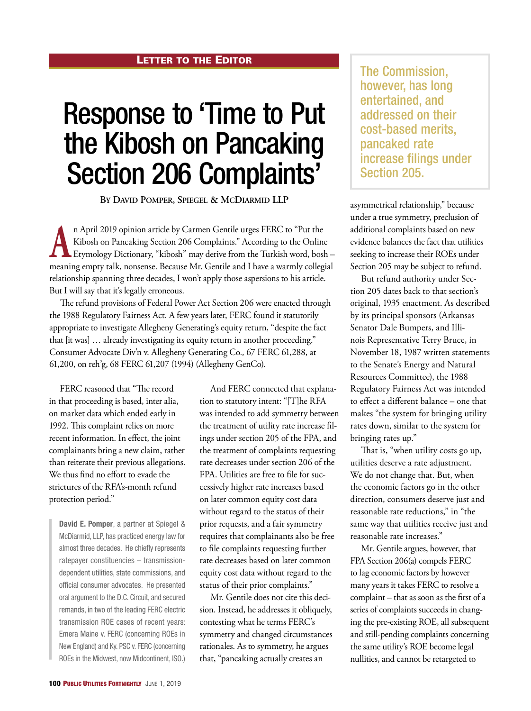## **LETTER TO THE EDITOR**

## Response to 'Time to Put the Kibosh on Pancaking Section 206 Complaints'

**By David Pomper, Spiegel & McDiarmid LLP**

**A**n April 2019 opinion article by Carmen Gentile urges FERC to "Put the Kibosh on Pancaking Section 206 Complaints." According to the Online Etymology Dictionary, "kibosh" may derive from the Turkish word, bosh – Kibosh on Pancaking Section 206 Complaints." According to the Online meaning empty talk, nonsense. Because Mr. Gentile and I have a warmly collegial relationship spanning three decades, I won't apply those aspersions to his article. But I will say that it's legally erroneous.

The refund provisions of Federal Power Act Section 206 were enacted through the 1988 Regulatory Fairness Act. A few years later, FERC found it statutorily appropriate to investigate Allegheny Generating's equity return, "despite the fact that [it was] … already investigating its equity return in another proceeding." Consumer Advocate Div'n v. Allegheny Generating Co*.,* 67 FERC 61,288, at 61,200, on reh'g, 68 FERC 61,207 (1994) (Allegheny GenCo).

FERC reasoned that "The record in that proceeding is based, inter alia, on market data which ended early in 1992. This complaint relies on more recent information. In effect, the joint complainants bring a new claim, rather than reiterate their previous allegations. We thus find no effort to evade the strictures of the RFA's-month refund protection period."

**David E. Pomper**, a partner at Spiegel & McDiarmid, LLP, has practiced energy law for almost three decades. He chiefly represents ratepayer constituencies – transmissiondependent utilities, state commissions, and official consumer advocates. He presented oral argument to the D.C. Circuit, and secured remands, in two of the leading FERC electric transmission ROE cases of recent years: Emera Maine v. FERC (concerning ROEs in New England) and Ky. PSC v. FERC (concerning ROEs in the Midwest, now Midcontinent, ISO.)

And FERC connected that explanation to statutory intent: "[T]he RFA was intended to add symmetry between the treatment of utility rate increase filings under section 205 of the FPA, and the treatment of complaints requesting rate decreases under section 206 of the FPA. Utilities are free to file for successively higher rate increases based on later common equity cost data without regard to the status of their prior requests, and a fair symmetry requires that complainants also be free to file complaints requesting further rate decreases based on later common equity cost data without regard to the status of their prior complaints."

Mr. Gentile does not cite this decision. Instead, he addresses it obliquely, contesting what he terms FERC's symmetry and changed circumstances rationales. As to symmetry, he argues that, "pancaking actually creates an

The Commission, however, has long entertained, and addressed on their cost-based merits, pancaked rate increase filings under Section 205.

asymmetrical relationship," because under a true symmetry, preclusion of additional complaints based on new evidence balances the fact that utilities seeking to increase their ROEs under Section 205 may be subject to refund.

But refund authority under Section 205 dates back to that section's original, 1935 enactment. As described by its principal sponsors (Arkansas Senator Dale Bumpers, and Illinois Representative Terry Bruce, in November 18, 1987 written statements to the Senate's Energy and Natural Resources Committee), the 1988 Regulatory Fairness Act was intended to effect a different balance – one that makes "the system for bringing utility rates down, similar to the system for bringing rates up."

That is, "when utility costs go up, utilities deserve a rate adjustment. We do not change that. But, when the economic factors go in the other direction, consumers deserve just and reasonable rate reductions," in "the same way that utilities receive just and reasonable rate increases."

Mr. Gentile argues, however, that FPA Section 206(a) compels FERC to lag economic factors by however many years it takes FERC to resolve a complaint – that as soon as the first of a series of complaints succeeds in changing the pre-existing ROE, all subsequent and still-pending complaints concerning the same utility's ROE become legal nullities, and cannot be retargeted to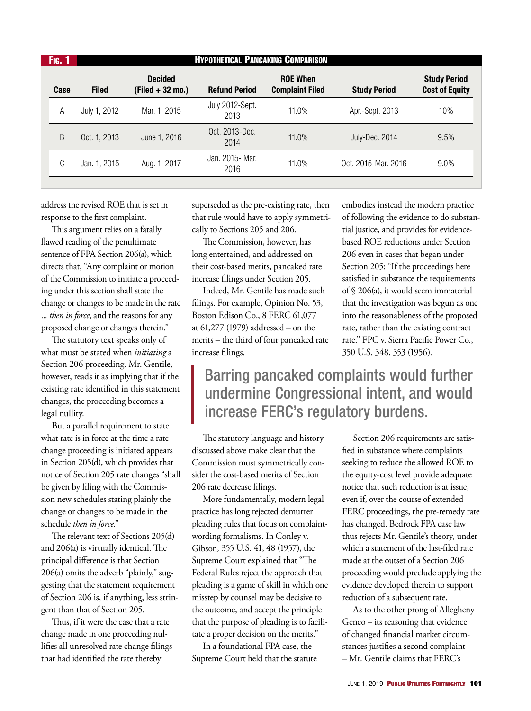| <b>HYPOTHETICAL PANCAKING COMPARISON</b><br><b>Fig. 1</b> |      |              |                                      |                         |                                           |                     |                                              |
|-----------------------------------------------------------|------|--------------|--------------------------------------|-------------------------|-------------------------------------------|---------------------|----------------------------------------------|
|                                                           | Case | <b>Filed</b> | <b>Decided</b><br>$(Field + 32 mo.)$ | <b>Refund Period</b>    | <b>ROE When</b><br><b>Complaint Filed</b> | <b>Study Period</b> | <b>Study Period</b><br><b>Cost of Equity</b> |
|                                                           | А    | July 1, 2012 | Mar. 1, 2015                         | July 2012-Sept.<br>2013 | 11.0%                                     | Apr.-Sept. 2013     | 10%                                          |
|                                                           | B    | Oct. 1, 2013 | June 1, 2016                         | Oct. 2013-Dec.<br>2014  | 11.0%                                     | July-Dec. 2014      | 9.5%                                         |
|                                                           | C    | Jan. 1, 2015 | Aug. 1, 2017                         | Jan. 2015- Mar.<br>2016 | 11.0%                                     | Oct. 2015-Mar. 2016 | 9.0%                                         |
|                                                           |      |              |                                      |                         |                                           |                     |                                              |

address the revised ROE that is set in response to the first complaint.

This argument relies on a fatally flawed reading of the penultimate sentence of FPA Section 206(a), which directs that, "Any complaint or motion of the Commission to initiate a proceeding under this section shall state the change or changes to be made in the rate ... *then in force*, and the reasons for any proposed change or changes therein."

The statutory text speaks only of what must be stated when *initiating* a Section 206 proceeding. Mr. Gentile, however, reads it as implying that if the existing rate identified in this statement changes, the proceeding becomes a legal nullity.

But a parallel requirement to state what rate is in force at the time a rate change proceeding is initiated appears in Section 205(d), which provides that notice of Section 205 rate changes "shall be given by filing with the Commission new schedules stating plainly the change or changes to be made in the schedule *then in force*."

The relevant text of Sections 205(d) and 206(a) is virtually identical. The principal difference is that Section 206(a) omits the adverb "plainly," suggesting that the statement requirement of Section 206 is, if anything, less stringent than that of Section 205.

Thus, if it were the case that a rate change made in one proceeding nullifies all unresolved rate change filings that had identified the rate thereby

superseded as the pre-existing rate, then that rule would have to apply symmetrically to Sections 205 and 206.

The Commission, however, has long entertained, and addressed on their cost-based merits, pancaked rate increase filings under Section 205.

Indeed, Mr. Gentile has made such filings. For example, Opinion No. 53, Boston Edison Co., 8 FERC 61,077 at 61,277 (1979) addressed – on the merits – the third of four pancaked rate increase filings.

embodies instead the modern practice of following the evidence to do substantial justice, and provides for evidencebased ROE reductions under Section 206 even in cases that began under Section 205: "If the proceedings here satisfied in substance the requirements of § 206(a), it would seem immaterial that the investigation was begun as one into the reasonableness of the proposed rate, rather than the existing contract rate." FPC v. Sierra Pacific Power Co*.*, 350 U.S. 348, 353 (1956).

## Barring pancaked complaints would further undermine Congressional intent, and would increase FERC's regulatory burdens.

The statutory language and history discussed above make clear that the Commission must symmetrically consider the cost-based merits of Section 206 rate decrease filings.

More fundamentally, modern legal practice has long rejected demurrer pleading rules that focus on complaintwording formalisms. In Conley v. Gibson*,* 355 U.S. 41, 48 (1957), the Supreme Court explained that "The Federal Rules reject the approach that pleading is a game of skill in which one misstep by counsel may be decisive to the outcome, and accept the principle that the purpose of pleading is to facilitate a proper decision on the merits."

In a foundational FPA case, the Supreme Court held that the statute

Section 206 requirements are satisfied in substance where complaints seeking to reduce the allowed ROE to the equity-cost level provide adequate notice that such reduction is at issue, even if, over the course of extended FERC proceedings, the pre-remedy rate has changed. Bedrock FPA case law thus rejects Mr. Gentile's theory, under which a statement of the last-filed rate made at the outset of a Section 206 proceeding would preclude applying the evidence developed therein to support reduction of a subsequent rate.

As to the other prong of Allegheny Genco – its reasoning that evidence of changed financial market circumstances justifies a second complaint – Mr. Gentile claims that FERC's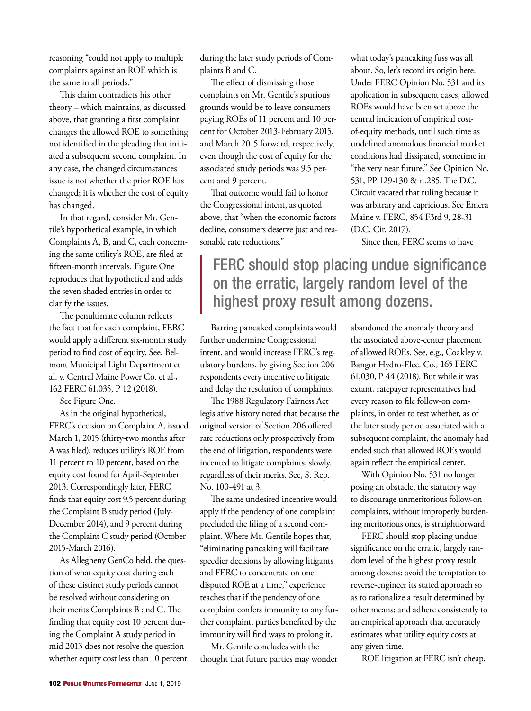reasoning "could not apply to multiple complaints against an ROE which is the same in all periods."

This claim contradicts his other theory – which maintains, as discussed above, that granting a first complaint changes the allowed ROE to something not identified in the pleading that initiated a subsequent second complaint. In any case, the changed circumstances issue is not whether the prior ROE has changed; it is whether the cost of equity has changed.

In that regard, consider Mr. Gentile's hypothetical example, in which Complaints A, B, and C, each concerning the same utility's ROE, are filed at fifteen-month intervals. Figure One reproduces that hypothetical and adds the seven shaded entries in order to clarify the issues.

The penultimate column reflects the fact that for each complaint, FERC would apply a different six-month study period to find cost of equity. See, Belmont Municipal Light Department et al. v. Central Maine Power Co. et al*.*, 162 FERC 61,035, P 12 (2018).

See Figure One.

As in the original hypothetical, FERC's decision on Complaint A, issued March 1, 2015 (thirty-two months after A was filed), reduces utility's ROE from 11 percent to 10 percent, based on the equity cost found for April-September 2013. Correspondingly later, FERC finds that equity cost 9.5 percent during the Complaint B study period (July-December 2014), and 9 percent during the Complaint C study period (October 2015-March 2016).

As Allegheny GenCo held, the question of what equity cost during each of these distinct study periods cannot be resolved without considering on their merits Complaints B and C. The finding that equity cost 10 percent during the Complaint A study period in mid-2013 does not resolve the question whether equity cost less than 10 percent during the later study periods of Complaints B and C.

The effect of dismissing those complaints on Mr. Gentile's spurious grounds would be to leave consumers paying ROEs of 11 percent and 10 percent for October 2013-February 2015, and March 2015 forward, respectively, even though the cost of equity for the associated study periods was 9.5 percent and 9 percent.

That outcome would fail to honor the Congressional intent, as quoted above, that "when the economic factors decline, consumers deserve just and reasonable rate reductions."

what today's pancaking fuss was all about. So, let's record its origin here. Under FERC Opinion No. 531 and its application in subsequent cases, allowed ROEs would have been set above the central indication of empirical costof-equity methods, until such time as undefined anomalous financial market conditions had dissipated, sometime in "the very near future." See Opinion No. 531, PP 129-130 & n.285. The D.C. Circuit vacated that ruling because it was arbitrary and capricious. See Emera Maine v. FERC, 854 F3rd 9, 28-31 (D.C. Cir. 2017).

Since then, FERC seems to have

## FERC should stop placing undue significance on the erratic, largely random level of the highest proxy result among dozens.

Barring pancaked complaints would further undermine Congressional intent, and would increase FERC's regulatory burdens, by giving Section 206 respondents every incentive to litigate and delay the resolution of complaints.

The 1988 Regulatory Fairness Act legislative history noted that because the original version of Section 206 offered rate reductions only prospectively from the end of litigation, respondents were incented to litigate complaints, slowly, regardless of their merits. See, S. Rep. No. 100-491 at 3.

The same undesired incentive would apply if the pendency of one complaint precluded the filing of a second complaint. Where Mr. Gentile hopes that, "eliminating pancaking will facilitate speedier decisions by allowing litigants and FERC to concentrate on one disputed ROE at a time," experience teaches that if the pendency of one complaint confers immunity to any further complaint, parties benefited by the immunity will find ways to prolong it.

Mr. Gentile concludes with the thought that future parties may wonder abandoned the anomaly theory and the associated above-center placement of allowed ROEs. See, e.g., Coakley v. Bangor Hydro-Elec. Co*.,* 165 FERC 61,030, P 44 (2018). But while it was extant, ratepayer representatives had every reason to file follow-on complaints, in order to test whether, as of the later study period associated with a subsequent complaint, the anomaly had ended such that allowed ROEs would again reflect the empirical center.

With Opinion No. 531 no longer posing an obstacle, the statutory way to discourage unmeritorious follow-on complaints, without improperly burdening meritorious ones, is straightforward.

FERC should stop placing undue significance on the erratic, largely random level of the highest proxy result among dozens; avoid the temptation to reverse-engineer its stated approach so as to rationalize a result determined by other means; and adhere consistently to an empirical approach that accurately estimates what utility equity costs at any given time.

ROE litigation at FERC isn't cheap,